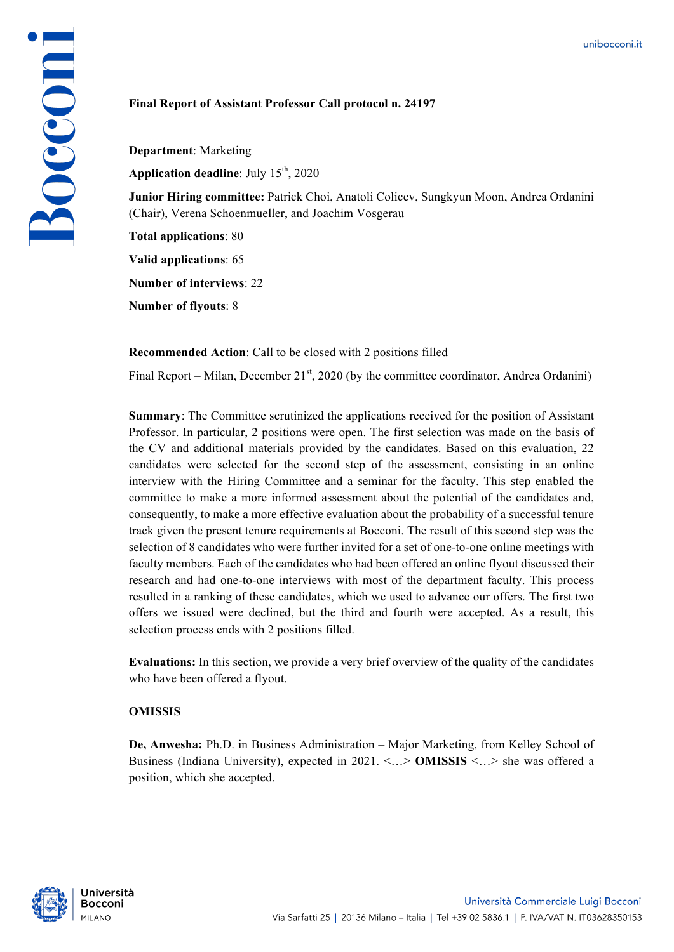## **Final Report of Assistant Professor Call protocol n. 24197**

**Department**: Marketing **Application deadline**: July 15<sup>th</sup>, 2020

**Junior Hiring committee:** Patrick Choi, Anatoli Colicev, Sungkyun Moon, Andrea Ordanini (Chair), Verena Schoenmueller, and Joachim Vosgerau

**Total applications**: 80

Bocconi

**Valid applications**: 65

**Number of interviews**: 22

**Number of flyouts**: 8

**Recommended Action**: Call to be closed with 2 positions filled

Final Report – Milan, December 21<sup>st</sup>, 2020 (by the committee coordinator, Andrea Ordanini)

**Summary**: The Committee scrutinized the applications received for the position of Assistant Professor. In particular, 2 positions were open. The first selection was made on the basis of the CV and additional materials provided by the candidates. Based on this evaluation, 22 candidates were selected for the second step of the assessment, consisting in an online interview with the Hiring Committee and a seminar for the faculty. This step enabled the committee to make a more informed assessment about the potential of the candidates and, consequently, to make a more effective evaluation about the probability of a successful tenure track given the present tenure requirements at Bocconi. The result of this second step was the selection of 8 candidates who were further invited for a set of one-to-one online meetings with faculty members. Each of the candidates who had been offered an online flyout discussed their research and had one-to-one interviews with most of the department faculty. This process resulted in a ranking of these candidates, which we used to advance our offers. The first two offers we issued were declined, but the third and fourth were accepted. As a result, this selection process ends with 2 positions filled.

**Evaluations:** In this section, we provide a very brief overview of the quality of the candidates who have been offered a flyout.

## **OMISSIS**

**De, Anwesha:** Ph.D. in Business Administration – Major Marketing, from Kelley School of Business (Indiana University), expected in 2021. <…> **OMISSIS** <…> she was offered a position, which she accepted.